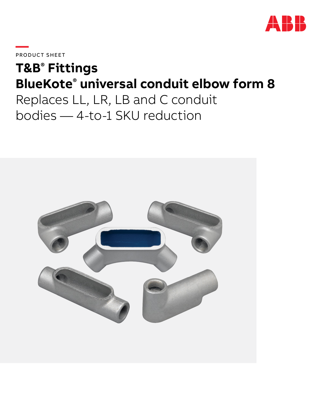

**—**PRODUCT SHEET

# **T&B® Fittings BlueKote® universal conduit elbow form 8**

Replaces LL, LR, LB and C conduit bodies — 4-to-1 SKU reduction